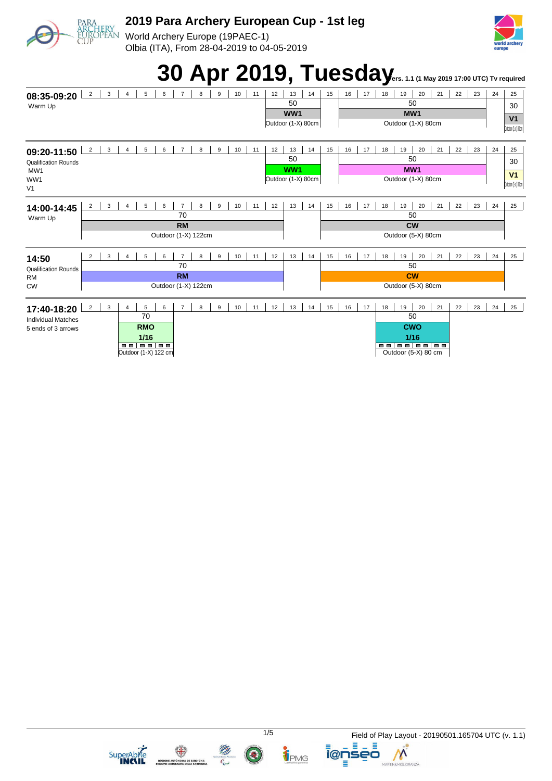

World Archery Europe (19PAEC-1) Olbia (ITA), From 28-04-2019 to 04-05-2019



## **30 Apr 2019, Tuesday**<sub>ers. 1.1 (1 May 2019 17:00 UTC) Tv required</sub>





**ELATERRATION CONTRACTOR**<br>**REGIONE AUTONOMA DELA SARDIGNA** 

TPMG

**i@nseo** Ξ

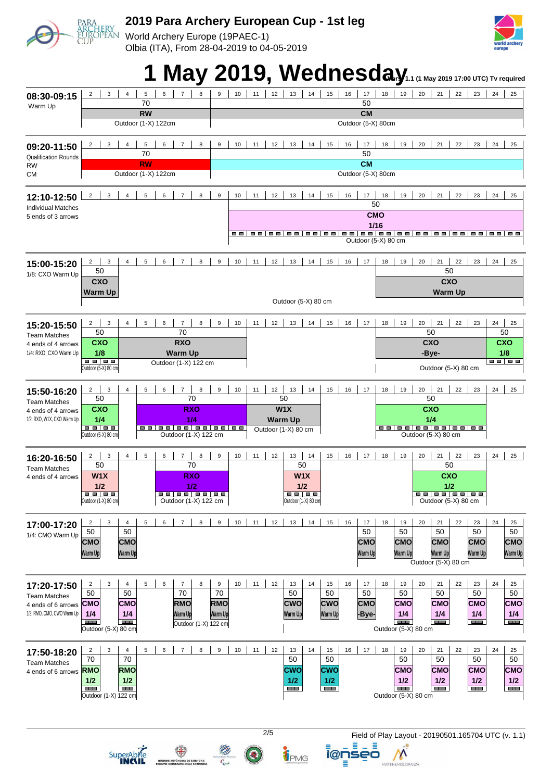World Archery Europe (19PAEC-1) Olbia (ITA), From 28-04-2019 to 04-05-2019



## **1 May 2019. Wednesday**

|                                            |                                                                                              | $\frac{1}{2}$ 1.1 (1 may 2013 17.00 01 C) TV required                                                                                 |  |  |  |  |  |  |  |  |  |  |  |  |  |
|--------------------------------------------|----------------------------------------------------------------------------------------------|---------------------------------------------------------------------------------------------------------------------------------------|--|--|--|--|--|--|--|--|--|--|--|--|--|
| 08:30-09:15<br>Warm Up                     | 3<br>$\overline{4}$<br>5<br>$\overline{7}$<br>$\overline{2}$<br>6<br>8<br>70<br><b>RW</b>    | 21<br>9<br>10<br>12<br>13<br>14<br>15<br>16<br>17<br>19<br>20<br>22<br>23<br>24<br>11<br>18<br>25<br>50<br><b>CM</b>                  |  |  |  |  |  |  |  |  |  |  |  |  |  |
|                                            | Outdoor (1-X) 122cm                                                                          | Outdoor (5-X) 80cm                                                                                                                    |  |  |  |  |  |  |  |  |  |  |  |  |  |
| 09:20-11:50<br><b>Qualification Rounds</b> | $\overline{4}$<br>5<br>6<br>$\overline{7}$<br>8<br>$\overline{2}$<br>3<br>70                 | 13<br>16<br>9<br>10<br>11<br>12<br>14<br>15<br>17<br>18<br>19<br>20<br>21<br>22<br>23<br>24<br>25<br>50                               |  |  |  |  |  |  |  |  |  |  |  |  |  |
| <b>RW</b><br><b>CM</b>                     | <b>RW</b><br>Outdoor (1-X) 122cm                                                             | <b>CM</b><br>Outdoor (5-X) 80cm                                                                                                       |  |  |  |  |  |  |  |  |  |  |  |  |  |
|                                            |                                                                                              |                                                                                                                                       |  |  |  |  |  |  |  |  |  |  |  |  |  |
| 12:10-12:50<br><b>Individual Matches</b>   | $\overline{c}$<br>3<br>$\overline{4}$<br>5<br>6<br>$\overline{7}$<br>8                       | $\boldsymbol{9}$<br>10<br>12<br>13<br>16<br>17<br>18<br>19<br>20<br>21<br>22<br>23<br>11<br>14<br>15<br>24<br>25<br>50                |  |  |  |  |  |  |  |  |  |  |  |  |  |
| 5 ends of 3 arrows                         |                                                                                              | <b>CMO</b>                                                                                                                            |  |  |  |  |  |  |  |  |  |  |  |  |  |
|                                            |                                                                                              | 1/16                                                                                                                                  |  |  |  |  |  |  |  |  |  |  |  |  |  |
|                                            | Outdoor (5-X) 80 cm                                                                          |                                                                                                                                       |  |  |  |  |  |  |  |  |  |  |  |  |  |
| 15:00-15:20                                | $\mathbf{3}$<br>$\overline{4}$<br>5<br>6<br>$\overline{7}$<br>8<br>$\overline{2}$<br>50      | 10<br>20<br>21<br>9<br>11<br>12<br>13<br>14<br>15<br>16<br>17<br>18<br>19<br>22<br>23<br>24<br>25<br>50                               |  |  |  |  |  |  |  |  |  |  |  |  |  |
| 1/8: CXO Warm Up                           | CXO                                                                                          | <b>CXO</b>                                                                                                                            |  |  |  |  |  |  |  |  |  |  |  |  |  |
|                                            | <b>Warm Up</b>                                                                               | <b>Warm Up</b>                                                                                                                        |  |  |  |  |  |  |  |  |  |  |  |  |  |
|                                            |                                                                                              | Outdoor (5-X) 80 cm                                                                                                                   |  |  |  |  |  |  |  |  |  |  |  |  |  |
| 15:20-15:50                                | 5<br>6<br>$\overline{7}$<br>8<br>$\overline{2}$<br>3<br>$\overline{4}$<br>50<br>70           | 9<br>10<br>11<br>12<br>13<br>14<br>15<br>16<br>17<br>18<br>19<br>20<br>21<br>22<br>23<br>24<br>25<br>50<br>50                         |  |  |  |  |  |  |  |  |  |  |  |  |  |
| <b>Team Matches</b><br>4 ends of 4 arrows  | <b>CXO</b><br><b>RXO</b>                                                                     | <b>CXO</b><br><b>CXO</b>                                                                                                              |  |  |  |  |  |  |  |  |  |  |  |  |  |
| 1/4: RXO, CXO Warm Up                      | 1/8<br><b>Warm Up</b><br><b></b>                                                             | 1/8<br>-Bye-<br>88 8 8                                                                                                                |  |  |  |  |  |  |  |  |  |  |  |  |  |
|                                            | Outdoor (1-X) 122 cm<br>Outdoor (5-X) 80 cm                                                  | Outdoor (5-X) 80 cm                                                                                                                   |  |  |  |  |  |  |  |  |  |  |  |  |  |
| 15:50-16:20                                | 6<br>$\overline{7}$<br>8<br>$\overline{2}$<br>3<br>$\overline{4}$<br>5                       | 13<br>9<br>10<br>12<br>14<br>15<br>16<br>17<br>20<br>21<br>22<br>24<br>11<br>18<br>19<br>23<br>25                                     |  |  |  |  |  |  |  |  |  |  |  |  |  |
| <b>Team Matches</b><br>4 ends of 4 arrows  | 50<br>70<br><b>CXO</b><br><b>RXO</b>                                                         | 50<br>50<br>W1X<br><b>CXO</b>                                                                                                         |  |  |  |  |  |  |  |  |  |  |  |  |  |
| 1/2: RXO, W1X, CXO Warm Up                 | 1/4<br>1/4                                                                                   | 1/4<br><b>Warm Up</b>                                                                                                                 |  |  |  |  |  |  |  |  |  |  |  |  |  |
|                                            | <b>BB 88</b><br>Outdoor (5-X) 80 cm<br>Outdoor (1-X) 122 cm                                  | <u>oojoojoojoojoo</u><br>Outdoor (1-X) 80 cm<br>Outdoor (5-X) 80 cm                                                                   |  |  |  |  |  |  |  |  |  |  |  |  |  |
|                                            |                                                                                              |                                                                                                                                       |  |  |  |  |  |  |  |  |  |  |  |  |  |
| 16:20-16:50                                | $\mathsf 3$<br>$\overline{7}$<br>8<br>$\overline{2}$<br>$\overline{4}$<br>5<br>6<br>50<br>70 | 10<br>11<br>12<br>13<br>15<br>16<br>17<br>18<br>19<br>21<br>22<br>23<br>9<br>14<br>20<br>24<br>25<br>50<br>50                         |  |  |  |  |  |  |  |  |  |  |  |  |  |
| <b>Team Matches</b><br>4 ends of 4 arrows  | W1X<br><b>RXO</b>                                                                            | CXO<br>W1X                                                                                                                            |  |  |  |  |  |  |  |  |  |  |  |  |  |
|                                            | 1/2<br>1/2                                                                                   | $1/2$<br>1/2                                                                                                                          |  |  |  |  |  |  |  |  |  |  |  |  |  |
|                                            | <b></b><br>Outdoor (1-X) 80 cm<br>Outdoor (1-X) 122 cm                                       | <b>.</b><br>Outdoor (1-X) 80 cm<br>Outdoor (5-X) 80 cm                                                                                |  |  |  |  |  |  |  |  |  |  |  |  |  |
| 17:00-17:20                                | 3<br>6<br>$\overline{7}$<br>8<br>5<br>$\overline{2}$<br>$\overline{4}$                       | $\boldsymbol{9}$<br>10<br>11<br>12<br>13<br>14<br>15<br>16<br>18<br>20<br>22<br>24<br>17<br>19<br>21<br>23<br>25                      |  |  |  |  |  |  |  |  |  |  |  |  |  |
| 1/4: CMO Warm Up                           | 50<br>50                                                                                     | 50<br>50<br>50<br>50<br>50                                                                                                            |  |  |  |  |  |  |  |  |  |  |  |  |  |
|                                            | <b>CMO</b><br><b>CMO</b>                                                                     | <b>CMO</b><br><b>CMO</b><br><b>CMO</b><br><b>CMO</b><br><b>CMO</b>                                                                    |  |  |  |  |  |  |  |  |  |  |  |  |  |
|                                            | Warm Up<br>Warm Up                                                                           | Warm Up<br>Warm Up<br>Warm Up<br>Warm Up<br>Warm Up<br>Outdoor (5-X) 80 cm                                                            |  |  |  |  |  |  |  |  |  |  |  |  |  |
|                                            | $\mathbf{3}$<br>5<br>6<br>$\overline{7}$<br>8<br>$\overline{2}$<br>4                         | 10<br>11<br>12<br>14<br>16<br>22<br>24<br>9<br>13<br>15<br>17<br>18<br>19<br>20<br>21<br>23<br>25                                     |  |  |  |  |  |  |  |  |  |  |  |  |  |
| 17:20-17:50<br><b>Team Matches</b>         | 50<br>50<br>70                                                                               | 50<br>70<br>50<br>50<br>50<br>50<br>50<br>50                                                                                          |  |  |  |  |  |  |  |  |  |  |  |  |  |
| 4 ends of 6 arrows                         | <b>RMO</b><br><b>CMO</b><br>CMO∣                                                             | <b>CMO</b><br><b>RMO</b><br><b>CWO</b><br><b>CMO</b><br><b>CMO</b><br><b>CMO</b><br>CWO<br>CMO                                        |  |  |  |  |  |  |  |  |  |  |  |  |  |
| 1/2: RMO, CMO, CWO Warm Up                 | 1/4<br>1/4<br>Warm Up<br><b>BEE</b><br><b>HIMM</b><br>Outdoor (1-X) 122 cm                   | 1/4<br>1/4<br>1/4<br>1/4<br>Warm Up<br>Warm Up<br>-Bye-<br>Warm Up<br><b>CONTRACT</b><br><b>COMPUTE</b><br><b>STEP</b><br><b>HELL</b> |  |  |  |  |  |  |  |  |  |  |  |  |  |
|                                            | Outdoor $(5-X)$ 80 cm                                                                        | Outdoor (5-X) 80 cm                                                                                                                   |  |  |  |  |  |  |  |  |  |  |  |  |  |
| 17:50-18:20                                | 3<br>5<br>6<br>$\overline{7}$<br>8<br>$\overline{2}$<br>4                                    | 9<br>10<br>12<br>14<br>16<br>17<br>18<br>22<br>11<br>13<br>15<br>19<br>20<br>21<br>23<br>24<br>25                                     |  |  |  |  |  |  |  |  |  |  |  |  |  |
| <b>Team Matches</b>                        | 70<br>70<br><b>RMO</b><br>RMO                                                                | 50<br>50<br>50<br>50<br>50<br>50<br><b>CWO</b><br>CWO<br><b>CMO</b><br><b>CMO</b><br><b>CMO</b><br><b>CMO</b>                         |  |  |  |  |  |  |  |  |  |  |  |  |  |
| 4 ends of 6 arrows                         | $1/2$<br>1/2                                                                                 | 1/2<br>1/2<br>1/2<br>1/2<br>$1/2$<br>1/2                                                                                              |  |  |  |  |  |  |  |  |  |  |  |  |  |
|                                            | $\overline{\phantom{a}}$<br><b>The Co</b><br>Outdoor (1-X) 122 cm                            | <b>The Co</b><br><b>THE</b><br><b>THE R</b><br><b>COLOR</b><br><b>THE R</b><br><b>HELE</b><br>Outdoor (5-X) 80 cm                     |  |  |  |  |  |  |  |  |  |  |  |  |  |
|                                            |                                                                                              |                                                                                                                                       |  |  |  |  |  |  |  |  |  |  |  |  |  |
|                                            |                                                                                              |                                                                                                                                       |  |  |  |  |  |  |  |  |  |  |  |  |  |
|                                            |                                                                                              | 2/5<br>Field of Play Layout - 20190501.165704 UTC (v. 1.1)                                                                            |  |  |  |  |  |  |  |  |  |  |  |  |  |
|                                            | SuperAbile                                                                                   | ienseo<br>TPMG                                                                                                                        |  |  |  |  |  |  |  |  |  |  |  |  |  |
|                                            | REGIONE AUTÓNOMA DE SARDIGNA<br>REGIONE AUTONOMA DELLA SARDEGNA                              | MARTIN&MIGLIORANZA                                                                                                                    |  |  |  |  |  |  |  |  |  |  |  |  |  |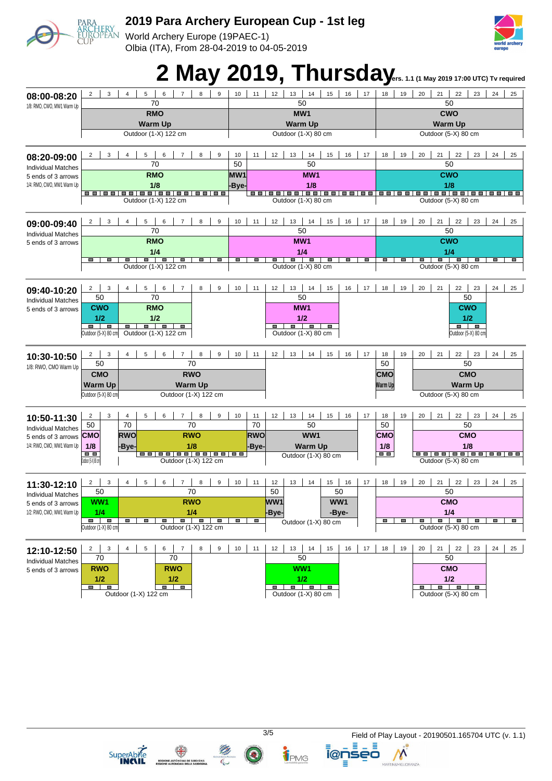World Archery Europe (19PAEC-1) Olbia (ITA), From 28-04-2019 to 04-05-2019



# 2 May 2019, Thursday**<sub>ers. 1.1 (1 May 2019 17:00 UTC) Tv required</sub>**

|                                                                    |                                                                                      |                |            |                                    |                |                   |                   |                 |                                              | ,               |                                                                           |                                                 |                              |                                                                   |                |                                                                                                                                                                                                                                                             |            |                                                                   |                |                                        |    |                                  |  |
|--------------------------------------------------------------------|--------------------------------------------------------------------------------------|----------------|------------|------------------------------------|----------------|-------------------|-------------------|-----------------|----------------------------------------------|-----------------|---------------------------------------------------------------------------|-------------------------------------------------|------------------------------|-------------------------------------------------------------------|----------------|-------------------------------------------------------------------------------------------------------------------------------------------------------------------------------------------------------------------------------------------------------------|------------|-------------------------------------------------------------------|----------------|----------------------------------------|----|----------------------------------|--|
| 08:00-08:20                                                        | 3<br>$\overline{2}$                                                                  | $\overline{4}$ | 5<br>70    | 6                                  | 7              | 8                 | 9                 | 10              | 11                                           | 12              | 13                                                                        | 14<br>50                                        | 15                           | 16                                                                | 17             | 18                                                                                                                                                                                                                                                          | 19         | 20                                                                | 21<br>50       | 22                                     | 23 | 24<br>25                         |  |
| 1/8: RMO, CWO, MW1 Warm Up                                         |                                                                                      |                |            |                                    |                | MW1               |                   |                 |                                              | <b>CWO</b>      |                                                                           |                                                 |                              |                                                                   |                |                                                                                                                                                                                                                                                             |            |                                                                   |                |                                        |    |                                  |  |
|                                                                    | <b>RMO</b>                                                                           |                |            |                                    |                |                   |                   |                 |                                              |                 |                                                                           | <b>Warm Up</b>                                  |                              |                                                                   |                |                                                                                                                                                                                                                                                             |            |                                                                   |                |                                        |    |                                  |  |
|                                                                    | <b>Warm Up</b><br>Outdoor (1-X) 122 cm                                               |                |            |                                    |                |                   |                   |                 |                                              |                 |                                                                           | Outdoor (1-X) 80 cm                             |                              |                                                                   |                | <b>Warm Up</b><br>Outdoor (5-X) 80 cm                                                                                                                                                                                                                       |            |                                                                   |                |                                        |    |                                  |  |
|                                                                    |                                                                                      |                |            |                                    |                |                   |                   |                 |                                              |                 |                                                                           |                                                 |                              |                                                                   |                |                                                                                                                                                                                                                                                             |            |                                                                   |                |                                        |    |                                  |  |
| 08:20-09:00                                                        | 3<br>5<br>8<br>9<br>$\overline{2}$<br>$\overline{4}$<br>6<br>$\overline{7}$          |                |            |                                    |                |                   |                   |                 | 10<br>11<br>12<br>13<br>14<br>15<br>16<br>50 |                 |                                                                           |                                                 |                              |                                                                   |                | 18                                                                                                                                                                                                                                                          | 19         | 20<br>21<br>22<br>23<br>24<br>25                                  |                |                                        |    |                                  |  |
| <b>Individual Matches</b>                                          | 70                                                                                   |                |            |                                    |                |                   |                   |                 |                                              |                 |                                                                           | 50                                              |                              |                                                                   |                |                                                                                                                                                                                                                                                             |            |                                                                   | 50             |                                        |    |                                  |  |
| 5 ends of 3 arrows                                                 | <b>RMO</b>                                                                           |                |            |                                    |                |                   |                   |                 | MW <sub>1</sub>                              |                 |                                                                           | MW1                                             |                              |                                                                   |                |                                                                                                                                                                                                                                                             |            | <b>CWO</b>                                                        |                |                                        |    |                                  |  |
| 1/4: RMO, CWO, MW1 Warm Up                                         |                                                                                      | 1/8            |            |                                    |                |                   |                   |                 | -Bye-                                        |                 | 1/8                                                                       |                                                 |                              |                                                                   |                | 1/8                                                                                                                                                                                                                                                         |            |                                                                   |                |                                        |    |                                  |  |
|                                                                    |                                                                                      |                |            | Outdoor (1-X) 122 cm               |                |                   |                   |                 | Outdoor (1-X) 80 cm                          |                 |                                                                           |                                                 |                              |                                                                   |                | <u> - -   -   -   - -   - -   - -   - -   - -   - -   - -   - -   - -   - -   - -   - -   - -   - -   - -   - -   - -   - -   - -   - -   - -   - -   - -   - -   - -   - -   - -   - -   - -   - -   - -   - -   - -   - -   - </u><br>Outdoor (5-X) 80 cm |            |                                                                   |                |                                        |    |                                  |  |
|                                                                    |                                                                                      |                |            |                                    |                |                   |                   |                 |                                              |                 |                                                                           |                                                 |                              |                                                                   |                |                                                                                                                                                                                                                                                             |            |                                                                   |                |                                        |    |                                  |  |
| 09:00-09:40                                                        | 3<br>5<br>8<br>9<br>$\overline{2}$<br>$\overline{\mathbf{A}}$<br>6<br>$\overline{7}$ |                |            |                                    |                |                   | 10                | 11              | 12<br>13<br>14<br>15<br>16<br>17             |                 |                                                                           |                                                 |                              |                                                                   |                | 18<br>19<br>20<br>21<br>22<br>23<br>24<br>25                                                                                                                                                                                                                |            |                                                                   |                |                                        |    |                                  |  |
| <b>Individual Matches</b>                                          |                                                                                      |                | 70         |                                    |                |                   |                   |                 | 50                                           |                 |                                                                           |                                                 |                              |                                                                   |                |                                                                                                                                                                                                                                                             |            |                                                                   | 50             |                                        |    |                                  |  |
| 5 ends of 3 arrows                                                 |                                                                                      |                | <b>RMO</b> |                                    |                |                   |                   |                 |                                              |                 |                                                                           | MW1                                             |                              |                                                                   |                | <b>CWO</b>                                                                                                                                                                                                                                                  |            |                                                                   |                |                                        |    |                                  |  |
|                                                                    |                                                                                      |                | 1/4        |                                    |                |                   |                   |                 |                                              |                 |                                                                           | 1/4                                             |                              |                                                                   |                |                                                                                                                                                                                                                                                             |            |                                                                   | 1/4            |                                        |    |                                  |  |
|                                                                    | o<br>$\blacksquare$                                                                  | ш              | - -        | Outdoor (1-X) 122 cm               | ш              | <b>The Second</b> | <b>The Second</b> | <b>O</b>        | $\qquad \qquad \blacksquare$                 | ш               | $\blacksquare$                                                            | $\blacksquare$<br>Outdoor (1-X) 80 cm           | $\qquad \qquad \blacksquare$ | $\blacksquare$                                                    | $\blacksquare$ | o                                                                                                                                                                                                                                                           | ш          |                                                                   | $\blacksquare$ | <b>CONTRACT</b><br>Outdoor (5-X) 80 cm | œ  | <b>CONTRACTOR</b><br><b>CONT</b> |  |
|                                                                    |                                                                                      |                |            |                                    |                |                   |                   |                 |                                              |                 |                                                                           |                                                 |                              |                                                                   |                |                                                                                                                                                                                                                                                             |            |                                                                   |                |                                        |    |                                  |  |
| 09:40-10:20                                                        | $\overline{2}$<br>3                                                                  | $\overline{4}$ | 5          | 6                                  | 7              | 8                 | 9                 | 10 <sup>1</sup> | 11                                           | 12              | 13                                                                        | 14                                              | 15                           | 16                                                                | 17             | 18                                                                                                                                                                                                                                                          | 19         | 20                                                                | 21             | 22                                     | 23 | 24<br>25                         |  |
| <b>Individual Matches</b>                                          | 50                                                                                   |                | 70         |                                    |                |                   |                   |                 |                                              |                 |                                                                           | 50                                              |                              |                                                                   |                |                                                                                                                                                                                                                                                             |            |                                                                   |                | 50                                     |    |                                  |  |
| 5 ends of 3 arrows                                                 | <b>CWO</b>                                                                           |                | <b>RMO</b> |                                    |                |                   |                   |                 |                                              |                 |                                                                           | MW1                                             |                              |                                                                   |                |                                                                                                                                                                                                                                                             |            |                                                                   |                | <b>CWO</b>                             |    |                                  |  |
|                                                                    | 1/2                                                                                  |                | 1/2        |                                    |                |                   |                   |                 |                                              |                 |                                                                           | 1/2                                             |                              |                                                                   |                |                                                                                                                                                                                                                                                             |            |                                                                   |                | 1/2                                    |    |                                  |  |
|                                                                    | Ξ<br>Ξ<br>Outdoor (5-X) 80 cm                                                        | ▬              | . .        | Outdoor (1-X) 122 cm               | $\blacksquare$ |                   |                   |                 |                                              | ▬               | $\blacksquare$                                                            | $\overline{\phantom{a}}$<br>Outdoor (1-X) 80 cm | Ξ                            |                                                                   |                |                                                                                                                                                                                                                                                             |            |                                                                   |                | Outdoor (5-X) 80 cm                    |    |                                  |  |
|                                                                    |                                                                                      |                |            |                                    |                |                   |                   |                 |                                              |                 |                                                                           |                                                 |                              |                                                                   |                |                                                                                                                                                                                                                                                             |            |                                                                   |                |                                        |    |                                  |  |
| 10:30-10:50                                                        | $\overline{2}$<br>3                                                                  | $\overline{4}$ | 5          | 6                                  | $\overline{7}$ | 8                 | 9                 | 10              | 11                                           | 12              | 13                                                                        | 14                                              | 15                           | 16                                                                | 17             | 18                                                                                                                                                                                                                                                          | 19         | 20                                                                | 21             | 22                                     | 23 | 24<br>25                         |  |
| 1/8: RWO, CMO Warm Up                                              | 50                                                                                   |                |            |                                    |                | 70                |                   |                 |                                              |                 |                                                                           |                                                 |                              |                                                                   |                | 50                                                                                                                                                                                                                                                          |            |                                                                   |                | 50                                     |    |                                  |  |
|                                                                    | <b>RWO</b><br><b>CMO</b>                                                             |                |            |                                    |                |                   |                   |                 |                                              |                 |                                                                           |                                                 |                              |                                                                   |                | <b>CMO</b>                                                                                                                                                                                                                                                  |            | <b>CMO</b>                                                        |                |                                        |    |                                  |  |
|                                                                    | <b>Warm Up</b><br><b>Warm Up</b>                                                     |                |            |                                    |                |                   |                   |                 |                                              |                 |                                                                           |                                                 | Warm Up<br><b>Warm Up</b>    |                                                                   |                |                                                                                                                                                                                                                                                             |            |                                                                   |                |                                        |    |                                  |  |
|                                                                    | Outdoor (5-X) 80 cm<br>Outdoor (1-X) 122 cm                                          |                |            |                                    |                |                   |                   |                 |                                              |                 |                                                                           |                                                 |                              |                                                                   |                |                                                                                                                                                                                                                                                             |            | Outdoor (5-X) 80 cm                                               |                |                                        |    |                                  |  |
| 10:50-11:30                                                        | 3<br>$\overline{2}$                                                                  | $\overline{4}$ | 5          | 6                                  | $\overline{7}$ | 8                 | 9                 | 10              | 11                                           | 12              | 13                                                                        | 14                                              | 15                           | 16                                                                | 17             | 18                                                                                                                                                                                                                                                          | 19         | 20                                                                | 21             | 22                                     | 23 | 24<br>25                         |  |
| <b>Individual Matches</b>                                          | 50                                                                                   | 70             |            |                                    |                | 70                |                   |                 | 70                                           |                 |                                                                           | 50                                              |                              |                                                                   |                | 50                                                                                                                                                                                                                                                          |            |                                                                   |                | 50                                     |    |                                  |  |
| 5 ends of 3 arrows                                                 | <b>RWO</b><br><b>RWO</b><br><b>CMO</b>                                               |                |            |                                    |                |                   |                   | <b>RWO</b>      | WW1                                          |                 |                                                                           |                                                 |                              |                                                                   | <b>CMO</b>     |                                                                                                                                                                                                                                                             | <b>CMO</b> |                                                                   |                |                                        |    |                                  |  |
| 1/4: RWO, CMO, WW1 Warm Up                                         | 1/8                                                                                  | 1/8<br>-Bye-   |            |                                    |                |                   |                   |                 | -Bye-                                        | <b>Warm Up</b>  |                                                                           |                                                 |                              |                                                                   |                | 1/8                                                                                                                                                                                                                                                         |            | 1/8                                                               |                |                                        |    |                                  |  |
|                                                                    | 医胃                                                                                   |                |            | <u>oo   oo   oo   oo   oo   oo</u> |                |                   |                   |                 |                                              |                 |                                                                           | Outdoor (1-X) 80 cm                             |                              |                                                                   |                | $\overline{a}$ is a set of $\overline{a}$                                                                                                                                                                                                                   |            |                                                                   |                |                                        |    |                                  |  |
| Outdoor (1-X) 122 cm<br>Outdoor (5-X) 80 cm<br>)utdoor (5-X) 80 cm |                                                                                      |                |            |                                    |                |                   |                   |                 |                                              |                 |                                                                           |                                                 |                              |                                                                   |                |                                                                                                                                                                                                                                                             |            |                                                                   |                |                                        |    |                                  |  |
| 11:30-12:10                                                        | $\overline{2}$<br>3                                                                  | $\overline{4}$ | 5          | 6                                  | $\overline{7}$ | 8                 | 9                 | 10              | 11                                           | 12              | 13                                                                        | 14                                              | 15                           | 16                                                                | 17             | 18                                                                                                                                                                                                                                                          | 19         | 20                                                                | 21             | 22                                     | 23 | 24<br>25                         |  |
| <b>Individual Matches</b>                                          | 50                                                                                   |                |            |                                    |                | 70                |                   |                 |                                              | 50              |                                                                           |                                                 | 50                           |                                                                   |                |                                                                                                                                                                                                                                                             |            |                                                                   | 50             |                                        |    |                                  |  |
| 5 ends of 3 arrows                                                 | WW1<br><b>RWO</b>                                                                    |                |            |                                    |                |                   |                   |                 |                                              | WW <sub>1</sub> |                                                                           |                                                 |                              | WW1                                                               |                |                                                                                                                                                                                                                                                             | <b>CMO</b> |                                                                   |                |                                        |    |                                  |  |
| 1/2: RWO, CMO, WW1 Warm Up                                         | 1/4<br>1/4                                                                           |                |            |                                    |                |                   |                   |                 |                                              | -Bye-           | -Bye-                                                                     |                                                 |                              |                                                                   |                | 1/4                                                                                                                                                                                                                                                         |            |                                                                   |                |                                        |    |                                  |  |
|                                                                    | <b>.</b><br>$\blacksquare$<br>I<br>a an<br>I<br>ı<br>D<br>п                          |                |            |                                    |                |                   |                   |                 | Outdoor (1-X) 80 cm                          |                 |                                                                           |                                                 |                              | $\blacksquare$<br>I<br>п<br>D<br>D<br>I<br>ı<br><b>CONTRACTOR</b> |                |                                                                                                                                                                                                                                                             |            |                                                                   |                |                                        |    |                                  |  |
|                                                                    | Outdoor (1-X) 122 cm<br>Outdoor (1-X) 80 cm                                          |                |            |                                    |                |                   |                   |                 |                                              |                 |                                                                           |                                                 |                              |                                                                   |                | Outdoor (5-X) 80 cm                                                                                                                                                                                                                                         |            |                                                                   |                |                                        |    |                                  |  |
| 12:10-12:50                                                        | $\overline{2}$<br>3                                                                  | $\overline{4}$ | 5          | 6                                  | $\overline{7}$ | 8                 | 9                 | 10              | 11                                           | 12              | 13                                                                        | 14                                              | 15                           | 16                                                                | 17             | 18                                                                                                                                                                                                                                                          | 19         | 20                                                                | 21             | 22                                     | 23 | 24<br>25                         |  |
| <b>Individual Matches</b>                                          | 70                                                                                   |                |            | 70                                 |                |                   |                   |                 |                                              |                 |                                                                           | 50                                              |                              |                                                                   |                |                                                                                                                                                                                                                                                             |            |                                                                   | 50             |                                        |    |                                  |  |
| 5 ends of 3 arrows                                                 | <b>RWO</b>                                                                           |                |            | <b>RWO</b>                         |                |                   |                   |                 |                                              |                 |                                                                           | WW1                                             |                              |                                                                   |                |                                                                                                                                                                                                                                                             |            |                                                                   | <b>CMO</b>     |                                        |    |                                  |  |
|                                                                    | 1/2<br>1/2                                                                           |                |            |                                    |                |                   |                   |                 |                                              | 1/2             |                                                                           |                                                 |                              |                                                                   |                |                                                                                                                                                                                                                                                             | 1/2        |                                                                   |                |                                        |    |                                  |  |
|                                                                    | $\blacksquare$<br>ı<br>O.<br>Ø.<br>Outdoor (1-X) 122 cm                              |                |            |                                    |                |                   |                   |                 |                                              |                 | $\blacksquare$<br>$\blacksquare$<br>$\blacksquare$<br>Outdoor (1-X) 80 cm |                                                 |                              |                                                                   |                |                                                                                                                                                                                                                                                             |            | $\blacksquare$<br>p<br>ш<br>$\blacksquare$<br>Outdoor (5-X) 80 cm |                |                                        |    |                                  |  |
|                                                                    |                                                                                      |                |            |                                    |                |                   |                   |                 |                                              |                 |                                                                           |                                                 |                              |                                                                   |                |                                                                                                                                                                                                                                                             |            |                                                                   |                |                                        |    |                                  |  |





 $\left( \bullet \right)$ 

TPMG

ienseo ≣

3/5 Field of Play Layout - 20190501.165704 UTC (v. 1.1)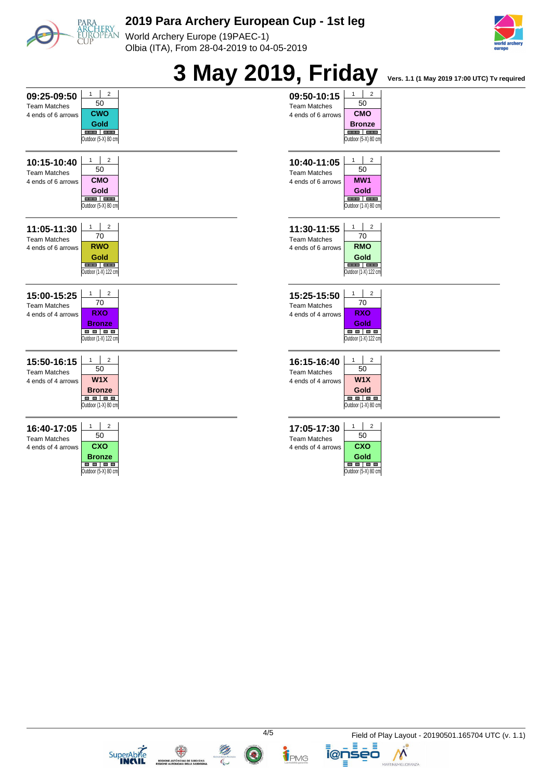

World Archery Europe (19PAEC-1) Olbia (ITA), From 28-04-2019 to 04-05-2019







**ELECTRIC ANTIQUES**<br>**REGIONE AUTONOMA DE SARDI** 





TPMG

≣

**i@nseo** Ξ

Ξ